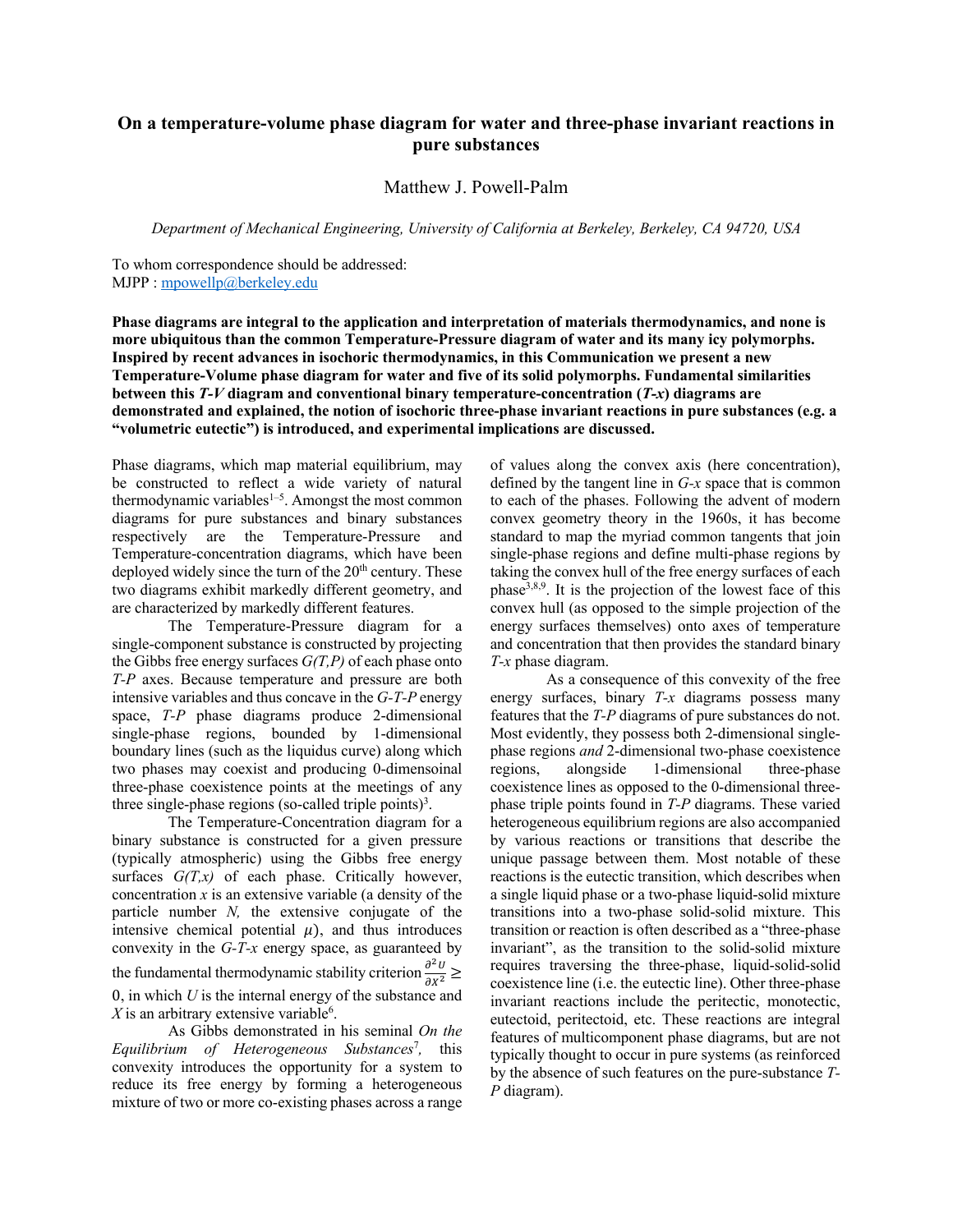## **On a temperature-volume phase diagram for water and three-phase invariant reactions in pure substances**

Matthew J. Powell-Palm

*Department of Mechanical Engineering, University of California at Berkeley, Berkeley, CA 94720, USA*

To whom correspondence should be addressed: MJPP : mpowellp@berkeley.edu

**Phase diagrams are integral to the application and interpretation of materials thermodynamics, and none is more ubiquitous than the common Temperature-Pressure diagram of water and its many icy polymorphs. Inspired by recent advances in isochoric thermodynamics, in this Communication we present a new Temperature-Volume phase diagram for water and five of its solid polymorphs. Fundamental similarities between this** *T-V* **diagram and conventional binary temperature-concentration (***T-x***) diagrams are demonstrated and explained, the notion of isochoric three-phase invariant reactions in pure substances (e.g. a "volumetric eutectic") is introduced, and experimental implications are discussed.** 

Phase diagrams, which map material equilibrium, may be constructed to reflect a wide variety of natural thermodynamic variables<sup>1-5</sup>. Amongst the most common diagrams for pure substances and binary substances respectively are the Temperature-Pressure and Temperature-concentration diagrams, which have been deployed widely since the turn of the  $20<sup>th</sup>$  century. These two diagrams exhibit markedly different geometry, and are characterized by markedly different features.

The Temperature-Pressure diagram for a single-component substance is constructed by projecting the Gibbs free energy surfaces *G(T,P)* of each phase onto *T-P* axes. Because temperature and pressure are both intensive variables and thus concave in the *G-T-P* energy space, *T-P* phase diagrams produce 2-dimensional single-phase regions, bounded by 1-dimensional boundary lines (such as the liquidus curve) along which two phases may coexist and producing 0-dimensoinal three-phase coexistence points at the meetings of any three single-phase regions (so-called triple points)<sup>3</sup>.

The Temperature-Concentration diagram for a binary substance is constructed for a given pressure (typically atmospheric) using the Gibbs free energy surfaces *G(T,x)* of each phase. Critically however, concentration *x* is an extensive variable (a density of the particle number *N,* the extensive conjugate of the intensive chemical potential  $\mu$ ), and thus introduces convexity in the *G-T-x* energy space, as guaranteed by the fundamental thermodynamic stability criterion  $\frac{\partial^2 U}{\partial x^2}$   $\geq$ 0, in which *U* is the internal energy of the substance and  $X$  is an arbitrary extensive variable<sup>6</sup>.

As Gibbs demonstrated in his seminal *On the Equilibrium of Heterogeneous Substances*<sup>7</sup> *,* this convexity introduces the opportunity for a system to reduce its free energy by forming a heterogeneous mixture of two or more co-existing phases across a range

of values along the convex axis (here concentration), defined by the tangent line in *G-x* space that is common to each of the phases. Following the advent of modern convex geometry theory in the 1960s, it has become standard to map the myriad common tangents that join single-phase regions and define multi-phase regions by taking the convex hull of the free energy surfaces of each phase<sup>3,8,9</sup>. It is the projection of the lowest face of this convex hull (as opposed to the simple projection of the energy surfaces themselves) onto axes of temperature and concentration that then provides the standard binary *T-x* phase diagram.

As a consequence of this convexity of the free energy surfaces, binary *T-x* diagrams possess many features that the *T-P* diagrams of pure substances do not. Most evidently, they possess both 2-dimensional singlephase regions *and* 2-dimensional two-phase coexistence regions, alongside 1-dimensional three-phase coexistence lines as opposed to the 0-dimensional threephase triple points found in *T-P* diagrams. These varied heterogeneous equilibrium regions are also accompanied by various reactions or transitions that describe the unique passage between them. Most notable of these reactions is the eutectic transition, which describes when a single liquid phase or a two-phase liquid-solid mixture transitions into a two-phase solid-solid mixture. This transition or reaction is often described as a "three-phase invariant", as the transition to the solid-solid mixture requires traversing the three-phase, liquid-solid-solid coexistence line (i.e. the eutectic line). Other three-phase invariant reactions include the peritectic, monotectic, eutectoid, peritectoid, etc. These reactions are integral features of multicomponent phase diagrams, but are not typically thought to occur in pure systems (as reinforced by the absence of such features on the pure-substance *T-P* diagram).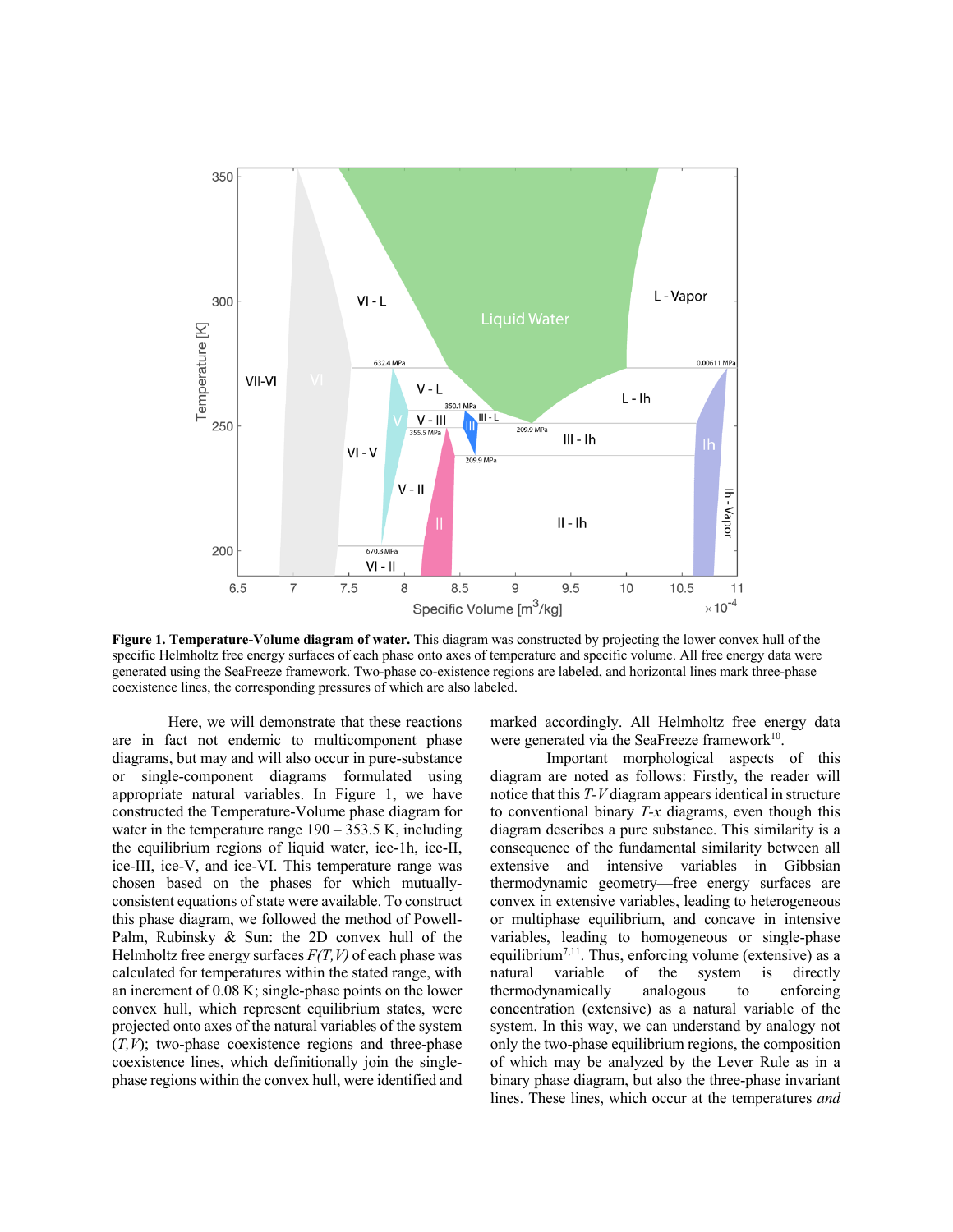

**Figure 1. Temperature-Volume diagram of water.** This diagram was constructed by projecting the lower convex hull of the specific Helmholtz free energy surfaces of each phase onto axes of temperature and specific volume. All free energy data were generated using the SeaFreeze framework. Two-phase co-existence regions are labeled, and horizontal lines mark three-phase coexistence lines, the corresponding pressures of which are also labeled.

Here, we will demonstrate that these reactions are in fact not endemic to multicomponent phase diagrams, but may and will also occur in pure-substance or single-component diagrams formulated using appropriate natural variables. In Figure 1, we have constructed the Temperature-Volume phase diagram for water in the temperature range  $190 - 353.5$  K, including the equilibrium regions of liquid water, ice-1h, ice-II, ice-III, ice-V, and ice-VI. This temperature range was chosen based on the phases for which mutuallyconsistent equations of state were available. To construct this phase diagram, we followed the method of Powell-Palm, Rubinsky & Sun: the 2D convex hull of the Helmholtz free energy surfaces *F(T,V)* of each phase was calculated for temperatures within the stated range, with an increment of 0.08 K; single-phase points on the lower convex hull, which represent equilibrium states, were projected onto axes of the natural variables of the system  $(T, V)$ ; two-phase coexistence regions and three-phase coexistence lines, which definitionally join the singlephase regions within the convex hull, were identified and

marked accordingly. All Helmholtz free energy data were generated via the SeaFreeze framework $10$ .

Important morphological aspects of this diagram are noted as follows: Firstly, the reader will notice that this *T-V* diagram appears identical in structure to conventional binary *T-x* diagrams, even though this diagram describes a pure substance. This similarity is a consequence of the fundamental similarity between all extensive and intensive variables in Gibbsian thermodynamic geometry—free energy surfaces are convex in extensive variables, leading to heterogeneous or multiphase equilibrium, and concave in intensive variables, leading to homogeneous or single-phase equilibrium<sup>7,11</sup>. Thus, enforcing volume (extensive) as a natural variable of the system is directly thermodynamically analogous to enforcing concentration (extensive) as a natural variable of the system. In this way, we can understand by analogy not only the two-phase equilibrium regions, the composition of which may be analyzed by the Lever Rule as in a binary phase diagram, but also the three-phase invariant lines. These lines, which occur at the temperatures *and*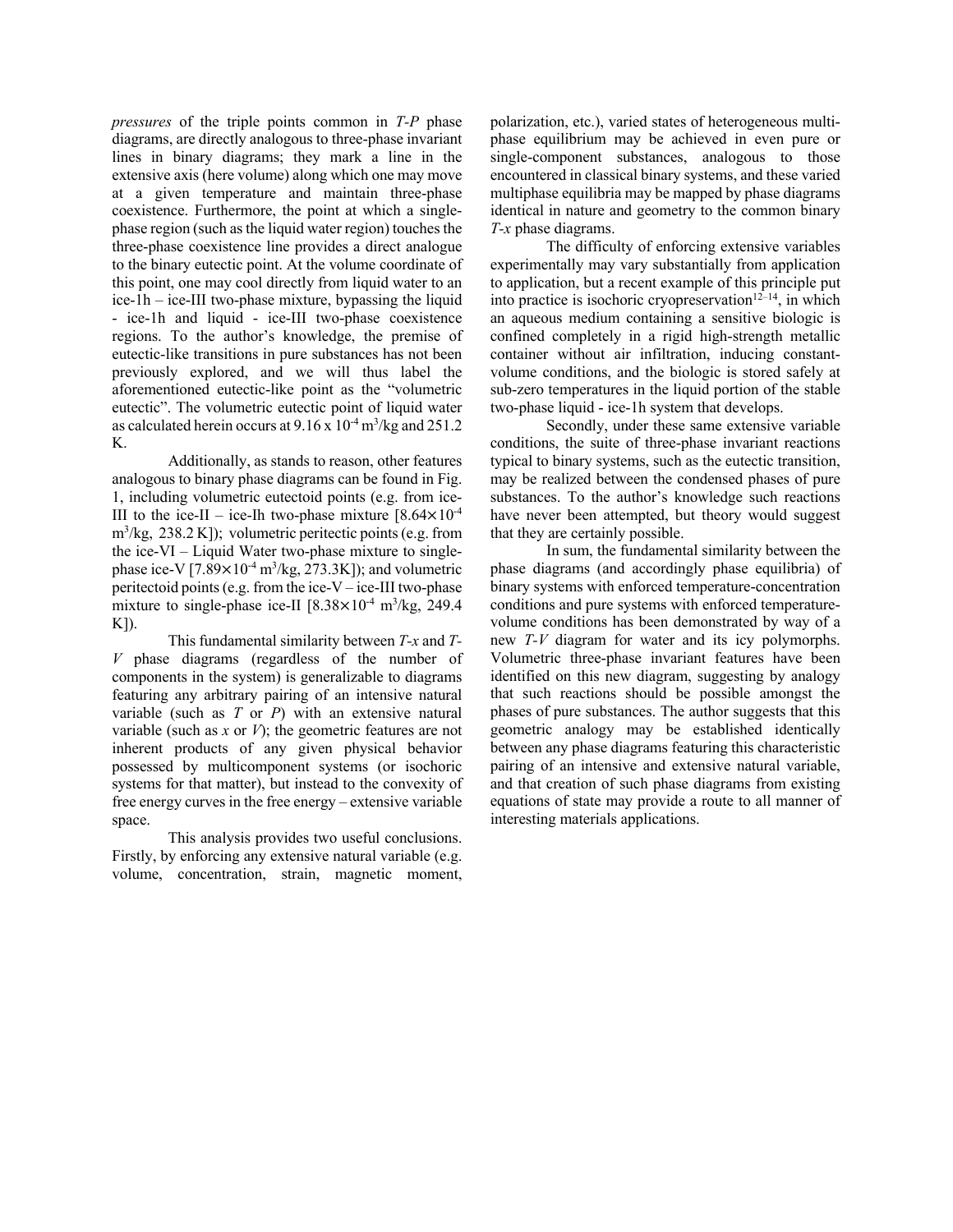*pressures* of the triple points common in *T-P* phase diagrams, are directly analogous to three-phase invariant lines in binary diagrams; they mark a line in the extensive axis (here volume) along which one may move at a given temperature and maintain three-phase coexistence. Furthermore, the point at which a singlephase region (such as the liquid water region) touches the three-phase coexistence line provides a direct analogue to the binary eutectic point. At the volume coordinate of this point, one may cool directly from liquid water to an ice-1h – ice-III two-phase mixture, bypassing the liquid - ice-1h and liquid - ice-III two-phase coexistence regions. To the author's knowledge, the premise of eutectic-like transitions in pure substances has not been previously explored, and we will thus label the aforementioned eutectic-like point as the "volumetric eutectic". The volumetric eutectic point of liquid water as calculated herein occurs at  $9.16 \times 10^{-4}$  m<sup>3</sup>/kg and 251.2 K.

Additionally, as stands to reason, other features analogous to binary phase diagrams can be found in Fig. 1, including volumetric eutectoid points (e.g. from ice-III to the ice-II – ice-Ih two-phase mixture  $[8.64 \times 10^{-4}]$ m3 /kg, 238.2 K]); volumetric peritectic points (e.g. from the ice-VI – Liquid Water two-phase mixture to singlephase ice-V  $[7.89 \times 10^{-4} \text{ m}^3/\text{kg}, 273.3 \text{K}]$ ); and volumetric peritectoid points (e.g. from the ice-V – ice-III two-phase mixture to single-phase ice-II  $[8.38 \times 10^{-4} \text{ m}^3/\text{kg}, 249.4]$ K]).

This fundamental similarity between *T-x* and *T-V* phase diagrams (regardless of the number of components in the system) is generalizable to diagrams featuring any arbitrary pairing of an intensive natural variable (such as *T* or *P*) with an extensive natural variable (such as *x* or *V*); the geometric features are not inherent products of any given physical behavior possessed by multicomponent systems (or isochoric systems for that matter), but instead to the convexity of free energy curves in the free energy – extensive variable space.

This analysis provides two useful conclusions. Firstly, by enforcing any extensive natural variable (e.g. volume, concentration, strain, magnetic moment, polarization, etc.), varied states of heterogeneous multiphase equilibrium may be achieved in even pure or single-component substances, analogous to those encountered in classical binary systems, and these varied multiphase equilibria may be mapped by phase diagrams identical in nature and geometry to the common binary *T-x* phase diagrams.

The difficulty of enforcing extensive variables experimentally may vary substantially from application to application, but a recent example of this principle put into practice is isochoric cryopreservation<sup>12-14</sup>, in which an aqueous medium containing a sensitive biologic is confined completely in a rigid high-strength metallic container without air infiltration, inducing constantvolume conditions, and the biologic is stored safely at sub-zero temperatures in the liquid portion of the stable two-phase liquid - ice-1h system that develops.

Secondly, under these same extensive variable conditions, the suite of three-phase invariant reactions typical to binary systems, such as the eutectic transition, may be realized between the condensed phases of pure substances. To the author's knowledge such reactions have never been attempted, but theory would suggest that they are certainly possible.

In sum, the fundamental similarity between the phase diagrams (and accordingly phase equilibria) of binary systems with enforced temperature-concentration conditions and pure systems with enforced temperaturevolume conditions has been demonstrated by way of a new *T-V* diagram for water and its icy polymorphs. Volumetric three-phase invariant features have been identified on this new diagram, suggesting by analogy that such reactions should be possible amongst the phases of pure substances. The author suggests that this geometric analogy may be established identically between any phase diagrams featuring this characteristic pairing of an intensive and extensive natural variable, and that creation of such phase diagrams from existing equations of state may provide a route to all manner of interesting materials applications.